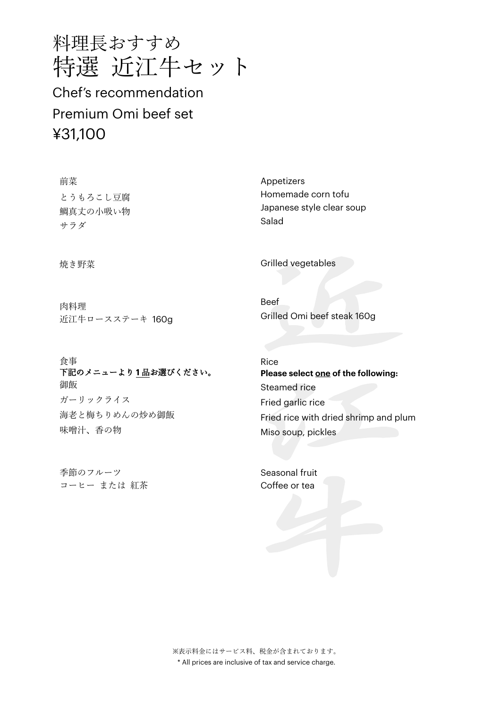

Chef's recommendation Premium Omi beef set ¥31,100

前菜 とうもろこし豆腐 鯛真丈の小吸い物 サラダ

焼き野菜

肉料理 近江牛ロースステーキ 160g

食事 下記のメニューより **1** 品お選びください。 御飯 ガーリックライス 海老と梅ちりめんの炒め御飯 味噌汁、香の物

季節のフルーツ コーヒー または 紅茶

Appetizers Homemade corn tofu Japanese style clear soup Salad

Grilled vegetables

Beef Grilled Omi beef steak 160g

Rice **Please select one of the following:**  Steamed rice Fried garlic rice Fried rice with dried shrimp and plum Miso soup, pickles

Seasonal fruit Coffee or tea

※表示料金にはサービス料、税金が含まれております。 \* All prices are inclusive of tax and service charge.